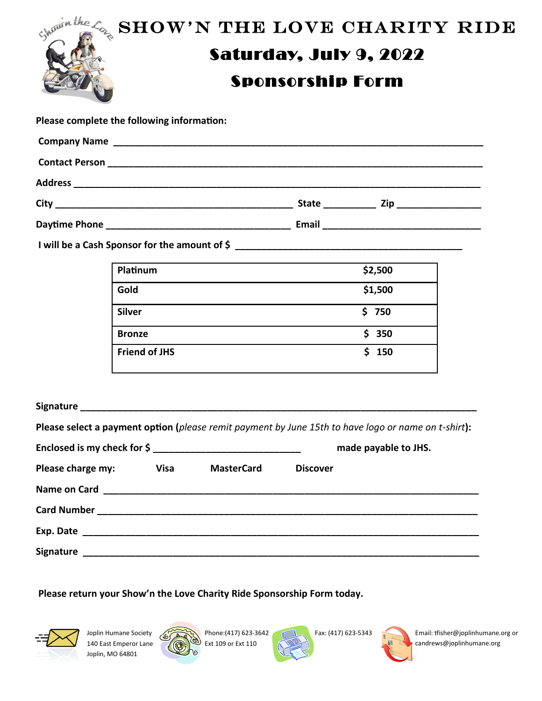| SHOW'N THE LOVE CHARITY RIDE |
|------------------------------|
|                              |
|                              |
|                              |

**Please complete the following information:**

| <b>Company Name</b>                                                                                                                     |              |     |  |  |
|-----------------------------------------------------------------------------------------------------------------------------------------|--------------|-----|--|--|
| <b>Contact Person</b>                                                                                                                   |              |     |  |  |
| <b>Address</b><br><u> 1989 - Johann Stoff, deutscher Stoffen und der Stoffen und der Stoffen und der Stoffen und der Stoffen und de</u> |              |     |  |  |
| <b>City</b>                                                                                                                             | <b>State</b> | Zip |  |  |
| Daytime Phone                                                                                                                           | Email        |     |  |  |

**I will be a Cash Sponsor for the amount of \$ \_\_\_\_\_\_\_\_\_\_\_\_\_\_\_\_\_\_\_\_\_\_\_\_\_\_\_\_\_\_\_\_\_\_\_\_\_\_\_\_\_\_\_**

| Platinum             | \$2,500 |
|----------------------|---------|
| Gold                 | \$1,500 |
| <b>Silver</b>        | \$750   |
| <b>Bronze</b>        | \$350   |
| <b>Friend of JHS</b> | \$150   |

|                   |      |                   | Please select a payment option (please remit payment by June 15th to have logo or name on t-shirt): |
|-------------------|------|-------------------|-----------------------------------------------------------------------------------------------------|
|                   |      |                   | made payable to JHS.                                                                                |
| Please charge my: | Visa | <b>MasterCard</b> | <b>Discover</b>                                                                                     |
|                   |      |                   |                                                                                                     |
|                   |      |                   |                                                                                                     |
|                   |      |                   |                                                                                                     |
|                   |      |                   |                                                                                                     |

**Please return your Show'n the Love Charity Ride Sponsorship Form today.**



Joplin Humane Society 140 East Emperor Lane Joplin, MO 64801



Phone:(417) 623-3642 Ext 109 or Ext 110



Fax: (417) 623-5343 Email: tfisher@joplinhumane.org or candrews@joplinhumane.org